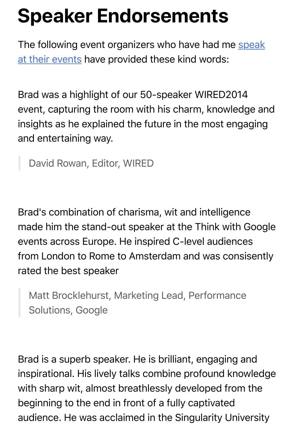## **Speaker Endorsements**

The following event organizers who have had me speak [at their events have provided these kind words:](https://www.templetons.com/brad/speaker.html)

Brad was a highlight of our 50-speaker WIRED2014 event, capturing the room with his charm, knowledge and insights as he explained the future in the most engaging and entertaining way.

David Rowan, Editor, WIRED

Brad's combination of charisma, wit and intelligence made him the stand-out speaker at the Think with Google events across Europe. He inspired C-level audiences from London to Rome to Amsterdam and was consisently rated the best speaker

Matt Brocklehurst, Marketing Lead, Performance Solutions, Google

Brad is a superb speaker. He is brilliant, engaging and inspirational. His lively talks combine profound knowledge with sharp wit, almost breathlessly developed from the beginning to the end in front of a fully captivated audience. He was acclaimed in the Singularity University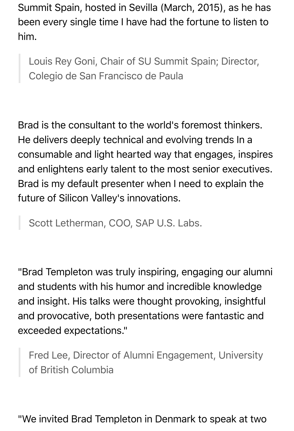Summit Spain, hosted in Sevilla (March, 2015), as he has been every single time I have had the fortune to listen to him.

Louis Rey Goni, Chair of SU Summit Spain; Director, Colegio de San Francisco de Paula

Brad is the consultant to the world's foremost thinkers. He delivers deeply technical and evolving trends In a consumable and light hearted way that engages, inspires and enlightens early talent to the most senior executives. Brad is my default presenter when I need to explain the future of Silicon Valley's innovations.

Scott Letherman, COO, SAP U.S. Labs.

"Brad Templeton was truly inspiring, engaging our alumni and students with his humor and incredible knowledge and insight. His talks were thought provoking, insightful and provocative, both presentations were fantastic and exceeded expectations."

Fred Lee, Director of Alumni Engagement, University of British Columbia

"We invited Brad Templeton in Denmark to speak at two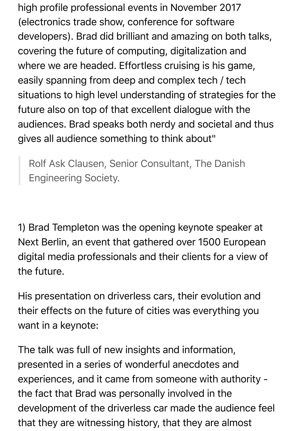high profile professional events in November 2017 (electronics trade show, conference for software developers). Brad did brilliant and amazing on both talks, covering the future of computing, digitalization and where we are headed. Effortless cruising is his game, easily spanning from deep and complex tech / tech situations to high level understanding of strategies for the future also on top of that excellent dialogue with the audiences. Brad speaks both nerdy and societal and thus gives all audience something to think about"

Rolf Ask Clausen, Senior Consultant, The Danish Engineering Society.

1) Brad Templeton was the opening keynote speaker at Next Berlin, an event that gathered over 1500 European digital media professionals and their clients for a view of the future.

His presentation on driverless cars, their evolution and their effects on the future of cities was everything you want in a keynote:

The talk was full of new insights and information, presented in a series of wonderful anecdotes and experiences, and it came from someone with authority the fact that Brad was personally involved in the development of the driverless car made the audience feel that they are witnessing history, that they are almost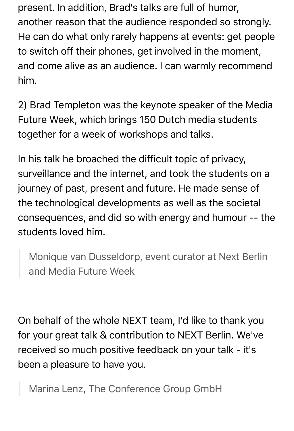present. In addition, Brad's talks are full of humor, another reason that the audience responded so strongly. He can do what only rarely happens at events: get people to switch off their phones, get involved in the moment, and come alive as an audience. I can warmly recommend him.

2) Brad Templeton was the keynote speaker of the Media Future Week, which brings 150 Dutch media students together for a week of workshops and talks.

In his talk he broached the difficult topic of privacy, surveillance and the internet, and took the students on a journey of past, present and future. He made sense of the technological developments as well as the societal consequences, and did so with energy and humour -- the students loved him.

Monique van Dusseldorp, event curator at Next Berlin and Media Future Week

On behalf of the whole NEXT team, I'd like to thank you for your great talk & contribution to NEXT Berlin. We've received so much positive feedback on your talk - it's been a pleasure to have you.

Marina Lenz, The Conference Group GmbH